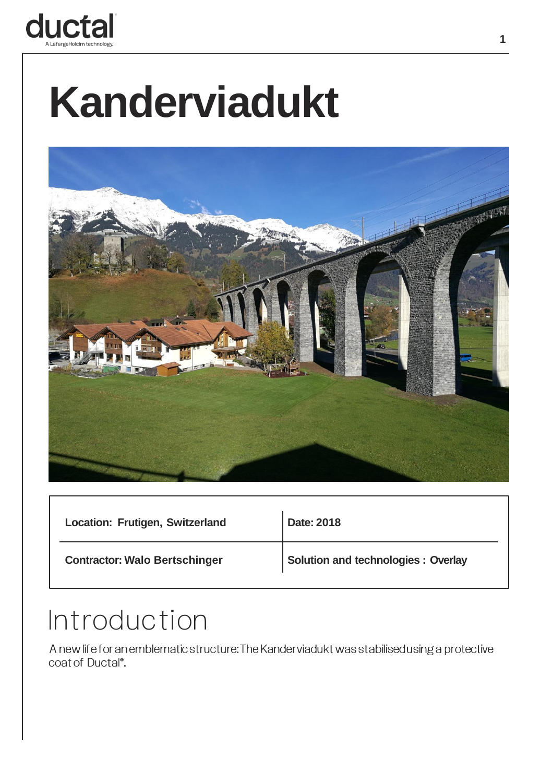

# **Kanderviadukt**



| Location: Frutigen, Switzerland      | Date: 2018                         |
|--------------------------------------|------------------------------------|
| <b>Contractor: Walo Bertschinger</b> | Solution and technologies: Overlay |

#### **Introduction**

A new life for an emblematic structure: The Kanderviadukt was stabilised using a protective coat of Ductal®.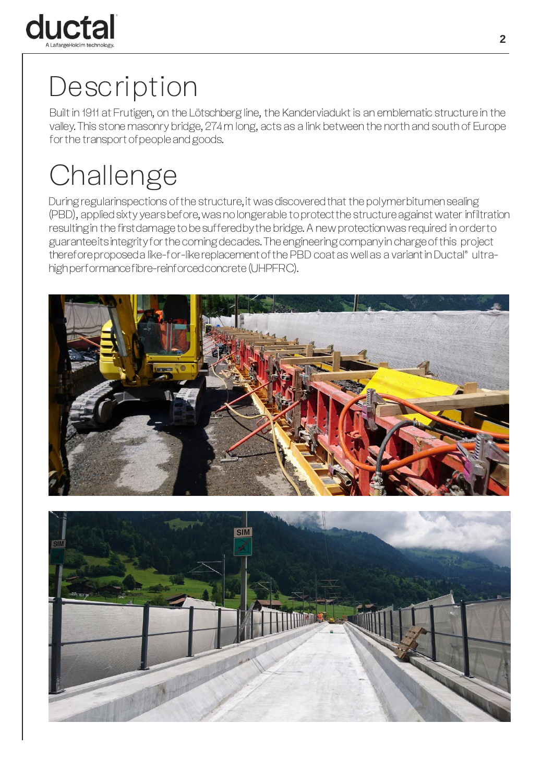

#### **Description**

Built in 1911 at Frutigen, on the Lötschberg line, the Kanderviadukt is an emblematic structure in the valley. This stone masonry bridge, 274 m long, acts as a link between the north and south of Europe for the transport of people and goods.

## **Challenge**

During regularinspections ofthe structure, it was discovered that the polymerbitumen sealing (PBD), applied sixty years before, was no longerable to protect the structure against water infiltration resulting in the first damage to be suffered by the bridge. A new protection was required in orderto guarantee its integrity for the coming decades. The engineering company in charge ofthis project therefore proposed a like-for-like replacement of the PBD coat as well as a variant in Ductal® ultrahigh performance fibre-reinforced concrete(UHPFRC).